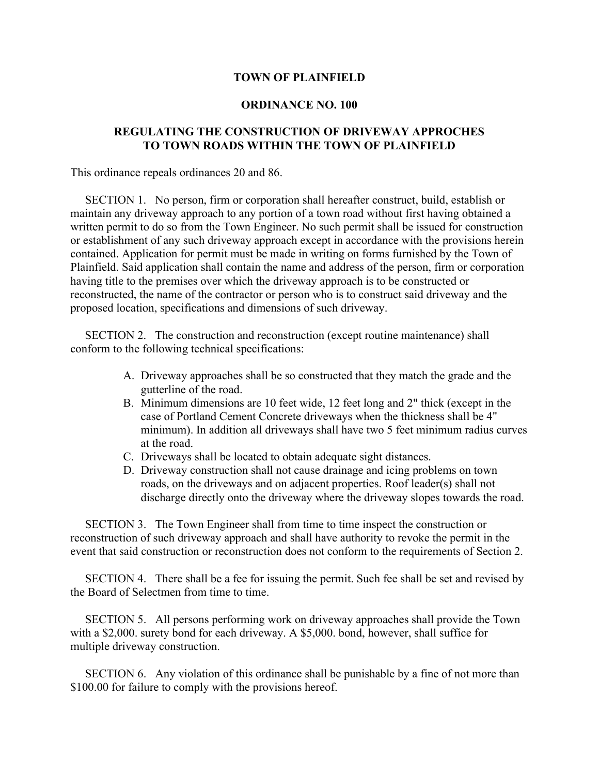## **TOWN OF PLAINFIELD**

## **ORDINANCE NO. 100**

## **REGULATING THE CONSTRUCTION OF DRIVEWAY APPROCHES TO TOWN ROADS WITHIN THE TOWN OF PLAINFIELD**

This ordinance repeals ordinances 20 and 86.

 SECTION 1. No person, firm or corporation shall hereafter construct, build, establish or maintain any driveway approach to any portion of a town road without first having obtained a written permit to do so from the Town Engineer. No such permit shall be issued for construction or establishment of any such driveway approach except in accordance with the provisions herein contained. Application for permit must be made in writing on forms furnished by the Town of Plainfield. Said application shall contain the name and address of the person, firm or corporation having title to the premises over which the driveway approach is to be constructed or reconstructed, the name of the contractor or person who is to construct said driveway and the proposed location, specifications and dimensions of such driveway.

 SECTION 2. The construction and reconstruction (except routine maintenance) shall conform to the following technical specifications:

- A. Driveway approaches shall be so constructed that they match the grade and the gutterline of the road.
- B. Minimum dimensions are 10 feet wide, 12 feet long and 2" thick (except in the case of Portland Cement Concrete driveways when the thickness shall be 4" minimum). In addition all driveways shall have two 5 feet minimum radius curves at the road.
- C. Driveways shall be located to obtain adequate sight distances.
- D. Driveway construction shall not cause drainage and icing problems on town roads, on the driveways and on adjacent properties. Roof leader(s) shall not discharge directly onto the driveway where the driveway slopes towards the road.

 SECTION 3. The Town Engineer shall from time to time inspect the construction or reconstruction of such driveway approach and shall have authority to revoke the permit in the event that said construction or reconstruction does not conform to the requirements of Section 2.

 SECTION 4. There shall be a fee for issuing the permit. Such fee shall be set and revised by the Board of Selectmen from time to time.

 SECTION 5. All persons performing work on driveway approaches shall provide the Town with a \$2,000. surety bond for each driveway. A \$5,000. bond, however, shall suffice for multiple driveway construction.

 SECTION 6. Any violation of this ordinance shall be punishable by a fine of not more than \$100.00 for failure to comply with the provisions hereof.